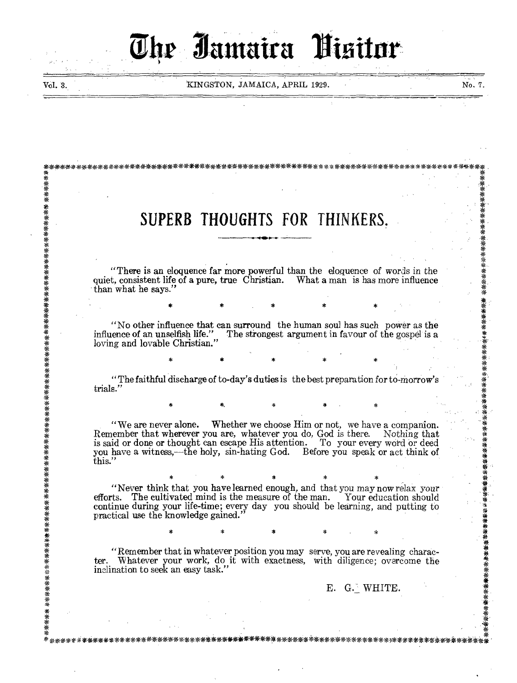# **Attmaira Binitar**  The January, JAMAICA, APRIL 1929.<br>
SUPERB THOUGHTS FOR THINKERS.<br>
There is an eloquence far more powerful than the eloquence of w<br>
than what he says."

Vol. 3. No. 7. KINGSTON, JAMAICA, APRIL 1929. No. 7. No. 7.

\*

\* \* \*\*\*

\*\*\*

\*\*\*

\* \* \* \* \* \* \* \*

\* "Remember that in whatever position you may serve, you are revealing charac-<br>
\* \* ter. Whatever your work, do it with exactness, with diligence; overcome the  $\mathbb{E}$ . G. WHITE.

quiet, consistent life of a pure, true Christian. What a man is has more influence than what he says." \* \* \* \* \* \* \*

\*\*\*\*\*4 \*\*\*\*\*\*\*\*\*\*\*\*\*\*\*\*\*\*\*\*\*\*\*\*\*\*\*V\*\*\*\*\*\*\*\*\*\*\*\*\*\*\*\*\*\*\* W \*\*\*\*\*\*\*\*\*\*\*\*\*\*\*\*\*\*\*\*\*\* \*\*\*\*\*\*. \* \* \* \* \* \* , \* \* \* \* \* \*

\* \* . SUPERB THOUGHTS FOR THINKERS.

\* \* \* \* \* \* "There is an eloquence far more powerful than the eloquence of words in the

> "No other influence that can surround the human soul has such power as the influence of an unselfish life." The strongest argument in favour of the gospel is a loving and lovable Christian."

\* \* \* \* \* \* \* \* \* \* \* trials." \* \* " The faithful discharge of to-day's duties is the best preparation for to-morrow's

 $\begin{matrix} * & * \ * & * \end{matrix}$  \* \* \* \* \*

inclination to seek an easy task."

"We are never alone. Whether we choose Him or not, we have a companion. \* Remember that wherever you are, whatever you do, God is there. Nothing that is said or done or thought can escape His attention. To your every word or deed you have a witness,—the holy, sin-hating God. Before you speak or act think of this." \* \* \*

\* \* \* \* \* \* "Never think that you have learned enough, and that you may now relax your : efforts. The cultivated mind is the measure of the man. Your education should continue during your life-time; every day you should be learning, and putting to practical use the knowledge gained."

\* \* \* \* \* \*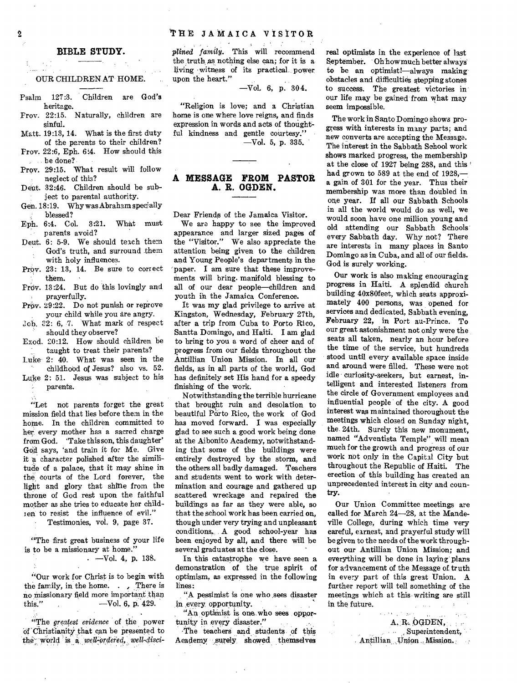### **THE JAMAICA VISITOR**

### **BIBLE STUDY.**

## OUR CHILDREN AT HOME.

- Psalm 127:3. Children are God's heritage.
- Frov. 22:15. Naturally, children are sinful.
- Matt. 19:13, 14. What is the first duty of the parents to their children?
- Frov. 22:6, Eph. 6;4. How should this be done?
- Prov. 29:15. What result will follow neglect of this?
- Deut. 32:46. Children should be subject to parental authority.
- Gen. 18:19. Why was Abraham specially blessed?
- Eph. 6:4. Col. 3:21. What must parents avoid?
- Deut. 6: 5-9. We should teach them God's truth, and surround them with holy influences.
- Prov. 23: 13, 14. Be sure to correct them.
- Prov. 13:24. But do this lovingly and prayerfully.
- Prov. 29:22. Do not punish or reprove your child while you are angry.
- $Job.$  22: 6, 7. What mark of respect should they observe?
- Exod. 20:12. How should children be taught to treat their parents?
- Luke 2: 40. What was seen in the childhood of Jesus? also vs. 52.
- Luke 2: 51. Jesus was subject to his parents.

"Let not parents forget the great mission field that lies before them in the home. In the children committed to her every mother has a sacred charge from God. 'Take this son, this daughter' God. says, 'and train it for Me. Give it a character polished after the similitude of a palace, that it may shine in the courts of the Lord forever, the light and glory that shine from the throne of God rest upon the faithful mother as she tries to educate her children to resist the influence of evil."

Testimonies, vol. 9, page 37.

"The first great business of your life is to be a missionary at home."

 $-Vol. 4$ , p. 138.

"Our work for Christ is to begin with the family, in the home. . There is no missionary field more important than<br>this." --- Vol. 6. p. 429.  $-$ Vol. 6, p. 429.

"The *greatest evidence* of the power of Christianity that can be presented to the world is a *well-ordered*, well-disci*plined family.* This will recommend the truth, as nothing else can; for it is a living witness of its practical. power upon the heart."  $-Vol. 6, p. 304.$ 

"Religion is love; and a Christian home is one where love reigns, and finds expression in words and acts of thoughtful kindness and gentle courtesy." —Vol. 5, p. 335.

### **A MESSAGE FROM PASTOR A. R. OGDEN.**

Dear Friends of the Jamaica Visitor. We are happy to see the improved appearance and larger sized pages of the "Visitor." We also appreciate the attention being given to the children and Young People's departments in the 'paper. I am sure that these improvements will bring. manifold blessing to all of our dear people—children and youth in the Jamaica Conference.

It was my glad privilege to arrive at Kingston, Wednesday, February 27th, after a trip from Cuba to Porto Rico, Santta Domingo, and Haiti. I am glad to bring to you a word of cheer and of Progress from our fields throughout the Antillian Union Mission. In all our fields, as in all parts of the world, God has definitely set His hand for a speedy finishing of the work.

Notwithstanding the terrible hurricane that brought ruin and desolation to beautiful Parto Rico, the work of God has moved forward. I was especially glad to see such a good work being done at the Aibonito Academy, notwithstanding that some of the buildings were entirely destroyed by the storm, and the others all badly damaged. Teachers and students went to work with determination and courage and gathered up scattered wreckage and repaired the buildings as far as they were able, so that the school work has been carried on, though under very trying and unpleasant conditions. A good school-year has been enjoyed by all, and there will be several graduates at the close.

In this catastrophe we have seen a demonstration of the true spirit of optimism, as expressed in the following lines:

"A pessimist is one who sees disaster in every, opportunity. **Contract** 

"An optimist is one who sees opportunity in every disaster."

•The teachers and students of this Academy surely showed themselves

real optimists in the experience of last September. Oh how much better always to be an optimist!—always making obstacles and difficulties stepping stones to success. The greatest victories in our life may be gained from what may seem impossible.

The work in Santo Domingo shows progress with interests in many parts; and new converts are accepting the Message. The interest in the Sabbath School work shows marked progress, the membership at the close of 1927 being 288, and this ' had grown to 589 at the end of 1928, a gain of 301 for the year. Thus their membership was more than doubled in one year. If all our Sabbath Schools in all the world would do as well, we would soon have one million young and old attending our Sabbath Schools every Sabbath day. Why not? There are interests in many places in Santo Domingo as in Cuba, and all of our fields. God is surely working.

Our work is also making encouraging progress in Haiti. A splendid church building 40x80feet, which seats approximately 400 persons, was opened for services and dedicated, Sabbath evening, February 22, in Port au-Prince. To our great astonishment not only were the seats all taken, nearly an hour before the time of the service, but hundreds stood until every available space inside and around were filled. These were not idle curiosity-seekers, but earnest, intelligent and interested listeners from the circle of Government employees and influential people of the city. A good interest was maintained thoroughout the meetings which closed on Sunday night, the 24th. Surely this new monument, named "Adventista Temple" will mean much for the growth and progress of our work not only in the Capital City but throughout the Republic of Haiti. The erection of this building has created an unprecedented interest in city and country.

Our Union Committee meetings are called for March 24-28, at the Mandeville College, during which time very careful, earnest, and prayerful study will be given to the needs of the work throughout our Antillian Union Mission; and everything will be done in laying plans for advancement of the Message of truth in every part of this great Union. A further report will tell something of the meetings which at this writing are still in the future.  $\sim$   $\sim$ 

> A. R.. OGDEN, Superintendent, Antillian Union Mission.

 $\sim$ 

 $\overline{2}$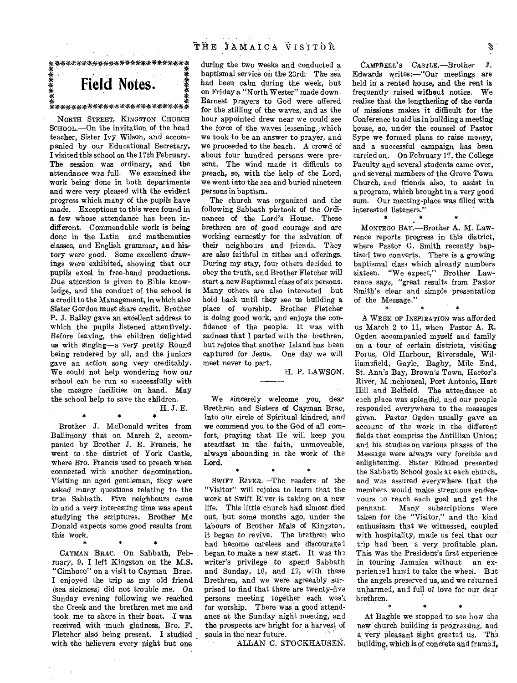### THE JAMAICA VISITOR

# **Field Notes.**  \*\*\*\*\*\*\*\*\*\*\*\*\*\*\*\*\*\*\*\*\*\*\*\*\*

NORTH STREET, KINGSTON CHURCH SCHOOL.—On the invitation of the head teacher, Sister Ivy Wilson, and accompanied by our Educational Secretary, I visited this school on the 17th February. The session was ordinary, and the attendance was full. We examined the work being done in both departments and were very pleased with the evident progress which many of the pupils have made. Exceptions to this were found in a few whose attendance has been indifferent. Commendable work is being done in the Latin and mathematics classes, and English grammar, and hiar tory were good. Some excellent drawings were exhibited, showing that our pupils excel in free-hand productions. Due attention is given to Bible knowledge, and the conduct of the school is a credit to the Management, in which also Sister Gordon must share credit. Brother P. J. Bailey gave an excellent address to which the pupils listened attentively. Before leaving, the children delighted us with singing—a very pretty Round being rendered by all, and the juniors gave an action song very creditably. We could not help wondering how our school can be run so successfully with the meagre facilities on hand. May the school help to save the children. H. J. E.

Brother J. McDonald writes from Ballimony that on March 2, accompanied by Brother J. E. Francis, he went to the district of York Castle, where Bro. Francis used to preach when connected with another denomination. Visiting an aged gentleman, they were asked many questions relating to the true Sabbath. Five neighbours came in and a *very* interesting time was spent studying the scriptures. Brother Mc Donald expects some good results from this work.

 $\bullet$ 

CAYMAN BRAC. On Sabbath, February, 9, I left Kingston on the M.S. "Cimboco" on a visit to Cayman Brac. I enjoyed the trip as my old friend (sea sickness) did not trouble me. On Sunday evening following we reached the Creek and the brethren met me and took me to shore in their boat. I was received with much gladness, Bro. F. Fletcher also being present. I studied with the believers every night but one

during the two weeks and conducted a baptismal service on the 23rd: The sea had been calm during the week, but on Friday a "North Wester" made down. Earnest prayers to God were offered for the stilling of the waves, and as the hour appointed drew near we could see the force of the waves lessening. which we took to be an answer to prayer, and we proceeded to the beach. A crowd of about four hundred persons were present. The wind made it difficult to preach, so, with the help of the Lord, we went into the sea and buried nineteen persons in baptism.

The church was organized and the following Sabbath partook of the Ordinances of the Lord's House. These brethren are of good courage and are working earnestly for the salvation of their neighbours and friends. They are also faithful in tithes and offerings. During my stay, four others decided to obey the truth, and Brother Fletcher will start a new Baptismal class of six persons. Many others are also interested but hold back until they see us building a place of worship. Brother Fletcher is doing good work, and enjoys the confidence of the people. It was with sadness that I parted with the brethren, but rejoice that another Island has been captured for Jesus. One day we will meet never to part.

H. P. LAWSON.

We sincerely welcome you, dear Brethren and Sisters of Cayman Brac, into our circle of Spiritual kindred, and we commend you to the God of all comfort, praying that He will keep you steadfast in the faith, unmoveable, always abounding in the work of the Lord.

\* \* \*

SWIFT RIVER.—The readers of the "Visitor" will rejoice to learn that the work at Swift River is taking on a new life. This little church had almost died out, but some months ago, under the labours of Brother Mais of Kingston, it began to revive. The brethren who had become careless and discourage I began to make a new start. It was the writer's privilege to spend Sabbath and Sunday, 16, and 17, with these Brethren, and we were agreeably surprised to find that there are twenty-five persons meeting together each week for worship. There was a good attendance at the Sunday night meeting, and the prospects are bright for a harvest of souls in the near future.

ALLAN C. STOCKHAUSEN.

CAMPBELL'S CASTLE.—Brother *J.*  Edwards writes:—"Our meetings are held in a rented house; and the rent is frequently raised without notice. We realize that the lengthening of the cords of missions makes it difficult for the Conference to aid us in building a meeting house, so, under the counsel of Pastor Sype we formed plans to raise money, and a successful campaign has been carried on. On February 17, the College Faculty and several students came over, and several members of the Grove Town Church, and friends also, to assist in a program, which brought in a very good sum. Our meeting-place was filled with interested listeners."

MONTEGO BAY.—Brother A. M. Lawrence reports progress in this district, where Pastor G. Smith recently baptized two converts. There is a growing baptismal class which already numbers sixteen. "We expect," Brother Lawrence says, "great results from Pastor Smith's clear and simple presentation of the Message." \*

 $\bullet$ 

A WEEK OF INSPIRATION was afforded us March 2 to 11, when Pastor A. R. Ogden accompanied myself and family on a tour of certain districts, visiting Porus, Old Harbour, Riversdale, Williamsfield, Gayle, Bagby, Mile End, St. Ann's Bay, Brown's Town, Hector's River, M .nchioneal, Port Antonio, Hart Hill and Belfield. The attendance at each place was splendid, and our people responded everywhere to the messages given. Pastor Ogden usually gave an account of the work in the different fields that comprise the Antillian Union; and his studies on various phases of the Message were always very forcible and enlightening. Sister Edmed presented the Sabbath School goals at each church, and was assured everywhere that the members would make strenuous endeavours to reach each goal and get the<br>pennant. Many subscriptions were Many subscriptions were taken for the "Visitor," and the kind enthusiasm that we witnessed, coupled with hospitality, made us feel that our trip had been a very profitable plan. This was the President's first experience in touring Jamaica without an experienced hand to take the wheel. But the angels preserved us, and we returned unharmed, and full of love for our dear brethren. \* \* \*

At Bagbie we stopped to see how the new church building is progressing, and a very pleasant sight greeted us. The building, which is of concrete and framed',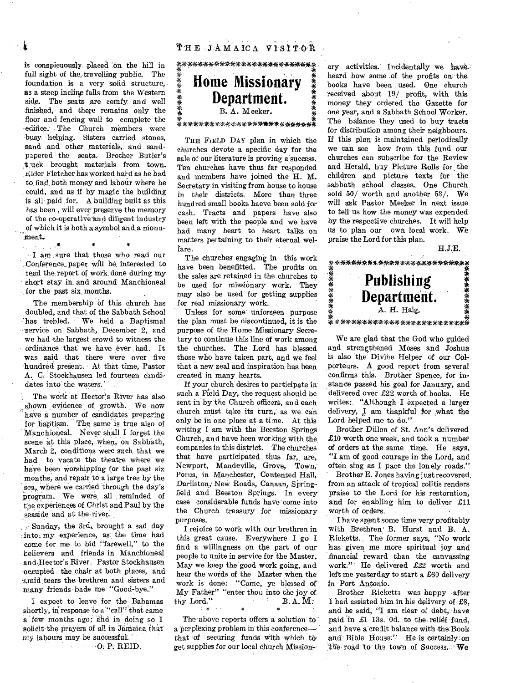is conspicuously placed :on the hill in full sight of the, travelling public. The foundation is a very solid structure, as a steep incline falls from the Western side. The seats are comfy and well finished, and there remains only the floor and fencing wall to complete the edifice. The Church members were busy helping. Sisters carried stones, sand and other materials, and sandpapered the, seats. Brother Butler's t-uck brought materials from town. Elder Fletcher has worked hard as he had to. find, both money and labour where he could, and as if by magic the building is all paid for. A building built as this has been , will ever preserve the memory of the co-operative and diligent industry of which it is both a symbol and a monumeat.

I am sure that those who read our -..Conference\_paper will be, interested to read the report of work done during my short stay in. and around Manchioneal for the past six months.

The membership of this church has doubled, and that of the Sabbath School has trebled. We held a Baptismal -service on Sabbath, December 2, and we had the largest crowd to witness the ordinance that we have ever had. It Was said that there were over five hundred present. At that time, Pastor A. C. Stockhausen led fourteen candidates into' the waters.

The work at Hector's River has also shown evidence of growth. We now have a number of candidates preparing for baptism. The same is true also of Manchioneal. Never shall I forget the scene at this place, when, on Sabbath, March 2, conditions were such that we had to vacate the theatre where we have been worshipping for the past six months, and repair to a large tree by the sea, where we carried through the day's program. We were all reminded of .the. experiences of Christ and Paul by the seaside and at the river.

 $\sim$  Sunday, the 3rd, brought a sad day :into:, my experience, as the time had come for me to bid "farewell," to the believers and friends in Manchioneal and Hector's River, Pastor Stockhausen 'occupied the, chair .at 'both places, and .1.:mid:tears the brethren' and sisters and -many friends bade me "Good-bye."

I expect to leave for the Bahamas shortly, in response to a "call" that came a few months ago; and in doing so I solicit the prayers of all in Jamaica that my labours may be successful.

' •Q: P: REID.

\*\*\*\*\*\*\*\*\*\*\*\*\*\*\*\*\*40X-\*\*\*\* **Home Missionary**  \*\*\*\*\*\*\* **Department.**  B. A. Meeker. **※**<br>**条埃埃茶茶茶茶※米米米米米米米米米<del>米</del>米米米米米米米米米** 

THE FIELp DAY plan in which the churches devote a specific day for the sale of our literature is proving a success. Ten churches have thus far responded and members have joined the H. M. Secretary in visiting from house to house in their districts. More than 'three hundred small books haeve been sold for cash. Tracts and papers have also been left with the people and we have had many heart to heart talks on matters pertaining to their eternal welfare.

The churches engaging in this work have been benefitted. The profits on the sales are retained in the churches to be used for missionary work. They may also be used for getting supplies for real missionary work.

Unless for some' unforseen purpose the plan must be discontinued, it is the purpose of the Home Missionary Secretary to continue this line of work among the churches. The Lord has blessed those who have taken part, and we feel that a new zeal and inspiration has been created in many hearts.

If your church desires to participate in such a Field Day, the request should be sent in by the Church officers, and each church must take its turn, as we can only be in one place at a time. At this writing I am with the Beeston Springs Church, and have been working with the companies in this district. The churches that have participated thus far, are, Newport, Mandeville, Grove, Town,' Porus, in Manchester, Contented Hall, Darliston; New Roads, Canaan, Springfield and Beeston Springs. In every case considerable funds have come into the Church treasury for missionary purposes.

I rejoice to work with our brethren in this great cause. Everywhere I go I find a willingness on the part of our people to unite in service for the Master. May we keep the good work going, and hear the words of the Master when the work is done: "Come, ye blessed of My Father" "enter thou into the joy of thy Lord."  $B. A. M$ : \* \*

The above reports offers a solution to a perplexing problem in this conference that of securing funds with which to get supplies for our local church Missionary activities. Incidentally we have heard how some .of the profits on 'the books have 'been, used. One church received about 19/ profit, with this money they ordered the Gazette for one year, and a Sabbath School Worker. The balance they used to buy tracts for distribution among their neighbours. If this plan is maintained periodically we can see how from this fund our churches can subscribe for the Review and Herald, buy Picture Rolls for the children and picture texts tor the sabbath school classes.. One Church sold 50/ worth and another 53/. We will ask Pastor Meeker in next issue to tell us how the money was expended by the respective churches. It will help us to plan our own local work. We praise the Lord for this plan.

H.J.E.



We are glad that the God who guided and strengthened Moses and Joshua is also the Divine Helper of our CO1 porteurs. A good report from several confirms this. Brother Spence, for instance passed his goal for January, and delivered over £22 worth of books. He writes: "Although I expected a larger delivery, I am thankful for what the Lord helped me to do."

Brother Dillon of St. Ann's delivered £10 worth one week, and took a number of orders at the same time. He says, "I am of good courage in the Lord, and often sing as I pace the lonely roads."

' Brother E. Jones having just recovered. from an attack of tropical colitis renders praise to the Lord for his restoration, and for enabling him to deliver £11 worth of orders.

I have spent some time very profitably with Brethren' B. Hurst and B. A. Ricketts. The former says, "No work has given me more spiritual joy and financial reward than the canvassing work." He delivered £22 worth and 'left me yesterday to start a £60 delivery in Port Antonio.

Brother Ricketts was happy after I had assisted him in his delivery of £8, and he said; "I am clear of debt, have paid 'in £1 13s. Od. to the relief fund, and have a'credit balance with the:Book and Bible House:" 'He is certainly:on the road to the town of Success.: We

í.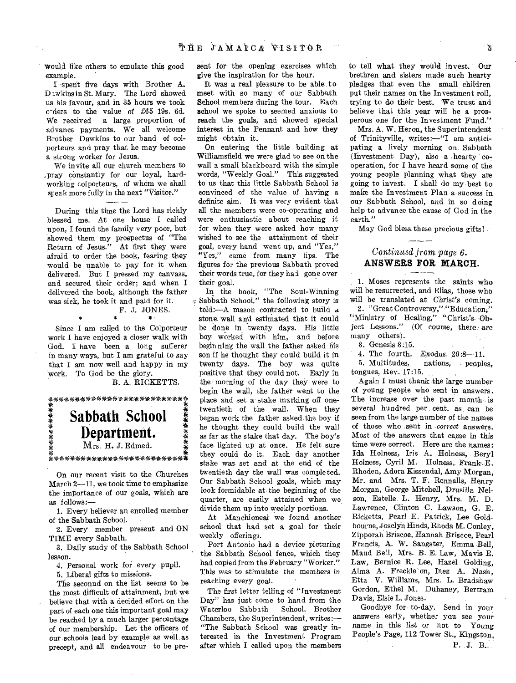would like others to emulate this good example.

I -spent five days with Brother A. Dawkins in St. Mary. The Lord showed us his favour, and in 35 hours we took cyders to the value of £65 19s. 6d. We received a large proportion of advance payments. We all welcome Brother Dawkins to our band of colporteurs and pray that he may become a strong worker for Jesus.

We invite all our church members to ,pray constantly for our loyal, hardworking colporteurs, of whom we shall speak more fully in the next "Visitor."

During this time the Lord has richly blessed me. At one house I called upon, I found the family very poor, but showed them my prospectus of "The Return of Jesus." At first they were afraid to order the book, fearing they would be unable to pay for it when delivered. But I pressed my canvass, and secured their order; and when I delivered the book, although the father was sick, he took it and paid for it. F. J. JONES.

Since I am called to the Colporteur work I have enjoyed a closer walk with God. I have been a long sufferer in many ways, but I am grateful to say that I am now well and happy in my work. To God be the glory.

B. A. RICKETTS.

\*\*\*\*\*\*\*\*\*\*\*\*\**sue*  安装演奏装装 **Sabbath School Department.**  Mrs. H. J. Edmed.

On our recent visit to the Churches March 2-11, we took time to emphasize the importance of our goals, which are as follows:-

\*\*\*\*\*\*\*\*\*\*\*\*\*\*\*\*\*\*\*\*\*\*\*\*\*\*\*\*\*\*

1. Every believer an enrolled member of the Sabbath School.

2. Every member present and ON TIME every Sabbath.

3. Daily study of the Sabbath School lesson.

4. Personal work for every pupil.

5. Liberal gifts to missions.

The seconnd on the list seems to be the most difficult of attainment, but we believe that with a decided effort on the part of each one this important goal may be reached by a much larger percentage of our membership. Let the officers of our schools lead by example as well as precept, and all endeavour to be pre-

sent for the opening exercises which give the inspiration for the hour.

It was a real pleasure to be able to meet with so many of oar Sabbath School members during the tour. Each school we spoke to seemed anxious to reach the goals, and showed special interest in the Pennant and how they might obtain it.

On entering the little building at Williamsfield we were glad to see on the wall a small blackboard with the simple words, "Weekly Goal." This suggested to us that this little Sabbath School is convinced of the value of having a definite aim. It was very evident that all the members were co-operating and were enthusiastic about reaching it for when they were asked how many wished to see the attainment of their goal, every hand went up, and "Yes," "Yes," came from many lips. The figures for the previous Sabbath proved their words true, for they had gone over their goal.

In the book, "The Soul-Winning e Sabbath School," the following story is told:—A mason contracted to build d. stone wall an'd estimated that it could be done in twenty days. His little boy worked with him, and before beginning the wall the father asked his son if he thought they could build it in twenty days. The boy was quite positive that they could not. Early in the- morning of the day they were to begin the wall, the father went to the place and set a' stake marking off onetwentieth of the wall. When they began work the father asked the boy if he thought they could build the wall as far as the stake that day. The boy's face lighted up at once. He felt sure they could do it. Each day another stake was set and at the end of the twentieth day the wall was completed. Our Sabbath School goals, which may look formidable at the beginning of the quarter, are easily attained when we divide them up into weekly portions.

At Manchioneal we found another school that had set a goal for their weekly offerings.

Port Antonio had a device picturing the Sabbath School fence, which they had copied from the February "Worker." This was to stimulate the members in reaching every goal.

The first letter telling of "Investment Day" has just come to hand from the<br>Waterloo Sabbath School. Brother Waterloo Sabbath Chambers, the Superintendent, writes:— "The Sabbath School was greatly interested in the Investment Program after which I called upon the members

to tell what they would invest. Our brethren and sisters made such hearty pledges that even the small children put their names on the Investment roll, trying to do their best. We trust and believe that this year will be a prosperous one for the Investment Fund."

Mrs. A. W. Heron, the Superintendent of Trinityville, writes:—"I am anticipating a lively morning on Sabbath (Investment Day), also a hearty cooperation, for I have heard some of the young people planning what they are going to invest. I shall do my best to make the Investment Plan a success in our Sabbath School, and in so doing help to advance the cause of God in the earth."

May God bless these precious gifts!

### *Continued from. page 6.*  **ANSWERS FOR MARCH.**

1. Moses represents the saints who will be resurrected, and Elias, those who will be translated at Christ's coming.

2. " Great Controversy," "Education," "Ministry of Healing," "Christ's- Object Lessons." (Of course, there are many others).

3. Genesis 3:15.

4. The fourth. Exodus  $20:8-11$ .<br>5. Multitudes. nations. people

nations, peoples, tongues, Rev. 17:15.

Again I must thank the large number of young people who sent in answers. The increase over the past month is several hundred per cent. as can be seen from the large number of the names of those who sent in *correct* answers. Most of the answers that came *in* this time were correct. Here are the names: Ida Holness, Iris A. Holness, Beryl Holness, Cyril M. Holness, Frank E. Rhoden, Adore Kissendal, Amy Morgan, Mr. and Mrs. T. F. Rennalls, Henry Morgan, George Mitchell, Drusilla Nelson, Estelle. L. Henry, Mrs. M. D. Lawrence, Clinton C. Lawson, G. E. Ricketts, Pearl E. Patrick, Lee Goldbourne, Josclyn Hinds, Rhoda M. Conley, Zipporah Briscoe, Hannah Briscoe, Pearl Francis, A. W. Sangster, Emma Bell, Maud Bell, Mrs. B. E. Law, Mavis E. Law, Bernice R. Lee, Hazel Golding, Alma A. Freckle on, Inez A. Nash, Etta V. Williams, Mrs. L. Bradshaw Gordon, Ethel M. Duhaney, Bertram Davis, Elsie L. Jones.

Goodbye for to-day. Send in your answers early, whether you see your name in this list or not to Young People's Page, 112 Tower St., Kingston.

P. J. B.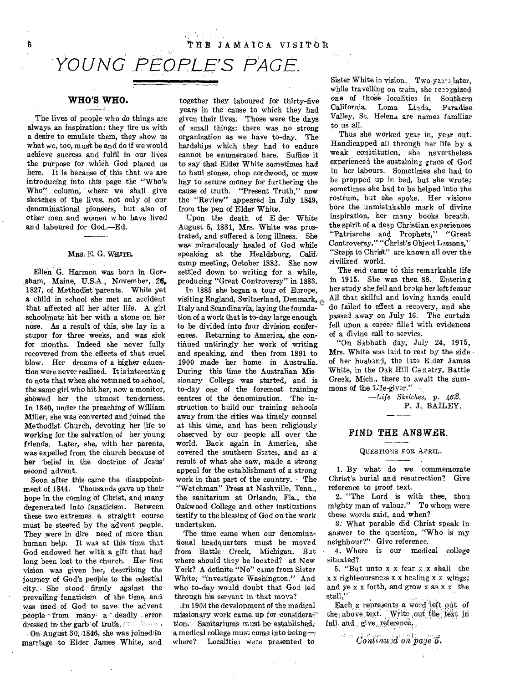# *YOUNG PEOPLE'S PAGE.*

### **WHO'S WHO.**

ç,

The lives of people who *do* things are always an inspiration: they fire us with a desire to emulate them, they show us what we, too, must be and do if we would achieve success and fulfil in our lives the purpose for which God placed us here. It is because of this that we are introducing into this page the "Who's Who" column, where we shall give sketches of the lives, not only of our denominational pioneers, but also of other men and women w ho have lived and laboured for God.—Ed.

### Mrs. E. G. WHITE.

Ellen G. Harmon was born in Gor- .sham, Maine, U.S.A., November, 26, 1827, of Methodist parents. While yet a child in school she met an accident that affected all her after life. A girl schoolmate hit her with a stone on her nose. As a result of this, she lay in a stupor for three weeks, and was sick for months. Indeed she never fully recovered from the effects of that cruel blow. Her dreams of a higher education were never realised. It is interesting to note that when she returned to school, the same girl who hit her, now a monitor, showed her the utmost tenderness. In 1840, under the preaching of William Miller, she was converted and joined the Methodist Church, -devoting her life to working for the salvation of her young friends. Later, she, with her parents, was expelled from the church because of her belief in the doctrine of Jesus' second advent.

Soon after this came the disappointment of 1844. Thousands gave up their hope in the coming of Christ, and many degenerated into fanaticism. Between these two extremes a straight course must be steered by the advent people. They were in dire need of more than human help. It was at this time that God endowed her with a gift that had long been lost to the church. Her first vision was given her, describing the journey of God's people to the celestial city. She stood firmly against the prevailing fanaticism of the time, and was used of God to save the advent people-from many-a-deadly error. dressed in the garb of truth.  $\mathbb{Z}^n$  -of the set

On August 30; 1846, she was joined in marriage to Elder James White, and

together they laboured for thirty-five years in the cause to which they had given their lives. Those were the days of small things: there was no strong organization as we have to-day. The hardships which they had to endure cannot be enumerated here. Suffice it to say that Elder White sometimes had to haul stones, chop cordwood, or mow hay to secure money for furthering the cause of truth. "Present Truth," now the "Review" appeared in July 1849, from the pen of Elder White.

Upon the death of E der White August 5, 1881, Mrs. White was prostrated, and suffered a long illness. She was miraculously healed of God while speaking at the Healdsburg, Calif: camp meeting, October 1882. She now settled down to writing for a while, producing "Great Controversy" in 1883.

In 1885 she began a tour of Europe, visiting England, Switzerland, Denmark, Italy and Scandinavia, laying the foundation of a work that is to-day large enough to be divided into four division conferences. Returning to America, she continued untiringly her work of writing and speaking, and then from 1891 to 1900 made her home in Australia. During this time the Australian Missionary College was started, and is to-day one of the foremost training centres of the denomination. The instruction to build our training schools away from the cities was timely counsel at this time, and has been religiously observed by our people all over the world. Back again in America, she covered the southern States, and as a result of what she saw, made a strong appeal for the establishment of a strong work in that part of the country. The "Watchman" Press at Nashville, Tenn., the sanitarium at Orlando, Fla., the Oakwood College and other institutions testify to the blessing of God on the work undertaken.

The time came when our denominational headquarters must be moved from Battle Creek, Michigan. Bat where should they be located? at New York? A definite "No" came from Sister White; "investigate Washington." And who to-day would doubt that God led through his servant in that move?

In 1903 the development of the medical missionary work came up for consideration. Sanitariums must be established, a medical college must come into being where? Localities *were* presented to

Sister White in vision. Two yairs later, while travelling on train, she recognized one of those localities in Southern California. Loma Linda, Paradise Valley, St. Helena are names familiar to us all.

Thus she worked year in, year out. Handicapped all, through her life by a weak constitution, she nevertheless experienced the sustaining grace of God in her labours. Sometimes she had to be propped up in bed, but she wrote; sometimes she had to be helped into the rostrum, but she spoke. Her visione bore the unmistakable mark of divine inspiration, her many books breath. the spirit of a deep Christian experiences "Patriarchs and Prophets," "Great Controversy," "Christ's Object Lessons,' ' "Steps to Christ" are known all over the civilized world.

The end came to this remarkable life in 1915. She was then 88. Entering her study she fell and broke her left femur All that skilful and loving hands could do failed to effect a recovery, and she passed away on July 16. The curtain fell upon a career filled with evidences of a divine call to service.

"On Sabbath day, July 24, 1915, Mrs. White-was laid to rest by the side  $\cdot$ of her husband, the late Elder James White, in the Oak Hill Ce.netry, Battle Creek, Mich., there to await the summons of the Life-giver."

> *—Life Sketches,* p. *.i62.*  P. J., BAILEY.

# **FIND THE ANSWER.**<br> **CURRITION** FOR ARBIT

### **QUESTIONS** FOR A?RIL.

1. By what do we commemorate Christ's burial and resurrection? Give reference to proof text.

2. "The Lord is with thee, thou mighty man of valour." To whom were these words said, and when?

3: What parable did Christ speak in answer to the question, "Who is my neighbour?" Give reference.

4. Where is our medical college situated?

5. "But unto x x fear x x shall the x x righteoursness x x healing x x wings; and ye x x forth, and grow x as  $x \times x$  the stall."

Each x represents a word left out of the above text. Write out the text in full and give reference,

Continued on page 5.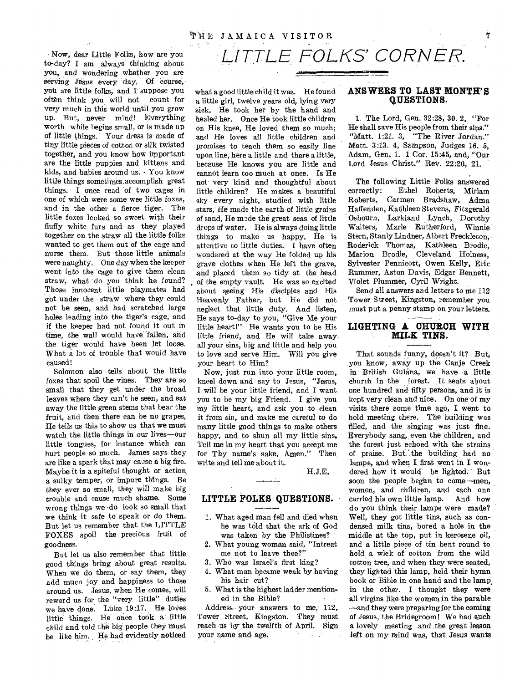Now, dear Little Folks, how are you to-day? I am always thinking about you, and wondering whether you are serving Jesus every day. Of course, you are little folks, and I suppose you often think you will not count for very much in this world until you grow up. But, never mind! Everything worth while begins small, or is made up of little things. Your dress is made of tiny little pieces of cotton or silk twisted together, and you know how important are the little puppies and kittens and kids, and babies around us. • You know little things sometimes,accomplish great things. I once read of two cages in one of which were some wee little foxes, and in the other a fierce tiger. The little foxes looked so sweet with their fluffy white furs and as they played together on the straw all the little folks wanted to get them out of the cage and nurse them. But those little animals were naughty. One day when the keeper went into the cage to give them clean straw, what do you think he found? Those innocent little playmates had got under the straw where they could not be seen, and had scratched large holes leading into the tiger's cage, and if the keeper had not found it out in time, the wall would have 'fallen, and the tiger would have been let loose. What a lot of trouble that would have caused!

Solomon also tells about the little foxes that spoil the vines. They are so small that they get under the broad leaves where they can't be seen, and eat away the little green stems that bear the fruit, and then there can be no grapes, He tells us this to show us that we must watch the little things in our lives—our little tongues, for instance which can hurt people so much. James says they are like a spark that may cause a big fire. Maybe it is a spiteful thought or action, a sulky temper, or impure things. Be they ever so small, they will make big trouble and cause much shame. Some wrong things we • do look so small that we think it safe to speak or do them. But let us remember that the LITTLE FOXES spoil the precious fruit of goodness.

But let us also remember that little good things bring about great results. When we do them, or say them, they add. much joy and happiness to those around us. Jesus, when He comes, will reward us for the "very little" duties we have done. Luke 19:17. He loves little things. He Once took a little child and told the big people they must be like him. He had evidently noticed what a good little child it was. He found a little girl, twelve years old, lying very sick. He took her by the hand and healed her. Once He took little children on His knee, He loved them so much; and He loves all little children and promises to teach them so easily line upon line, here a little and there a little, because He knows you are little and cannot learn too much at once. Is He not very kind and thoughtful about little children? He makes a beautiful sky every night, studied with little stars, He made the earth of little grains of sand, He made the great seas of little drops of water. He is always doing little things to make us happy. He is attentive to little duties. I have often wondered at the way He folded up his grave clothes when He left the grave, and placed them so tidy at the head of the empty vault. He was so excited about seeing His disciples and His Heavenly Father, but He did not neglect that little duty. And listen, He says to-day to you, "Give Me your little heart!" He wants you to be His little friend, and He will take away all your sins, big and little and help you to love and serve Him. Will you give your heart to Him?

Now, just run into your little room, kneel down and say to Jesus, "Jesus, I will be your little friend, and I want you to be my big Friend. I give you my little heart, and ask you to clean it from sin, and make me careful to do many little good things to make others happy, and to shun all my little sins. Tell me in my heart that you accept me for Thy name's sake, Amen." Then write and tell me about it.

H.J.E.

### **LITTLE FOLKS QUESTIONS.**

- 1. What aged man fell and died when he was told that the ark of God was taken by the Philistines?
- 2. What young woman said, "Intreat me not to leave thee?"
- 3. Who was Israel's first king?
- 4. What man became weak by having his hair cut?
- 5. What is the highest ladder mentioned in the Bible?

Address your answers to me, 112, Tower Street, Kingston. They must reach us by the twelfth of April. Sign your name and age.  $\sim 10^{11}$  km  $^{-2}$  .

### **ANSWERS TO LAST MONTH'S QUESTIONS.**

1. The Lord, Gen. 32:28, 30. 2, "For He shall save His people from their sins." "Matt. 1:21. 3, "The River Jordan." Matt. 3:13. 4, Sampson, Judges 16. 5, Adam, Gen, 1. 1 Cor. 15:45, and, "Our Lord Jesus Christ." Rev. 22:20, 21.

The following Little Folks answered correctly: Ethel Roberts, Miriam Roberts, Carmen Bradshaw, Adma Haffenden, Kathleen Stevens, Fitzgerald Osbourn, Larkland Lynch, Dorothy Walters, Marie Rutherford, Winnie Stern, Stanly Lindner, Albert Freckleton, Roderick Thomas, Kathleen Brodie, Marion Brodie, Cleveland Holness, Sylvester Pennicott, Owen Kelly, Eric Rummer, Aston Davis, Edgar Bennett, Violet Plummer, Cyril Wright.

Send all answers and letters to me 112 Tower Street, Kingston, remember you must put a penny stamp on your letters.

### **LIGHTING A CHURCH WITH MILK TINS.**

That sounds funny, doesn't it? But, you know, away up the Canje Creek in British Guiana, we have a little church in the forest. It seats about one hundred and fifty persons, and it is kept very clean and nice. On one of my visits there some time ago, I went to hold meeting there. The building was filled, and the singing was just fine. Everybody sang, even the children, and the forest just echoed with the strains of praise. But. the building had no lamps, and when I first went in I wondered how it would be lighted. But soon the people began to come—men, women, and children, and each one<br>carried his own little lamp. And how carried his own little lamp. do you think their lamps were made? Well, they got little tins, such as condensed milk tins, bored a hole in the middle at the top, put in kerosene oil, and a little piece of tin bent round to hold a wick of cotton from the wild cotton tree, and when they were seated, they lighted this lamp, held their hymn book or Bible in one hand and the lamp, in the other. I thought they were all virgins like the women in the parable —and they were preparing for the coming of Jesus, the Bridegroom! We had such a lovely meeting and the great lesson left on my mind was, that Jesus wants